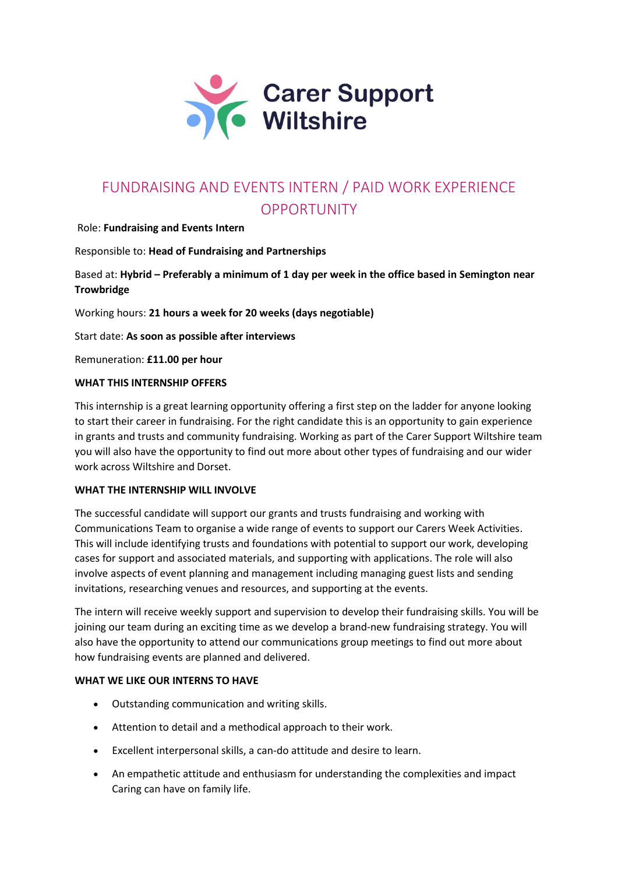

# FUNDRAISING AND EVENTS INTERN / PAID WORK EXPERIENCE OPPORTUNITY

### Role: **Fundraising and Events Intern**

Responsible to: **Head of Fundraising and Partnerships** 

## Based at: **Hybrid – Preferably a minimum of 1 day per week in the office based in Semington near Trowbridge**

Working hours: **21 hours a week for 20 weeks (days negotiable)**

Start date: **As soon as possible after interviews**

Remuneration: **£11.00 per hour**

#### **WHAT THIS INTERNSHIP OFFERS**

This internship is a great learning opportunity offering a first step on the ladder for anyone looking to start their career in fundraising. For the right candidate this is an opportunity to gain experience in grants and trusts and community fundraising. Working as part of the Carer Support Wiltshire team you will also have the opportunity to find out more about other types of fundraising and our wider work across Wiltshire and Dorset.

#### **WHAT THE INTERNSHIP WILL INVOLVE**

The successful candidate will support our grants and trusts fundraising and working with Communications Team to organise a wide range of events to support our Carers Week Activities. This will include identifying trusts and foundations with potential to support our work, developing cases for support and associated materials, and supporting with applications. The role will also involve aspects of event planning and management including managing guest lists and sending invitations, researching venues and resources, and supporting at the events.

The intern will receive weekly support and supervision to develop their fundraising skills. You will be joining our team during an exciting time as we develop a brand-new fundraising strategy. You will also have the opportunity to attend our communications group meetings to find out more about how fundraising events are planned and delivered.

#### **WHAT WE LIKE OUR INTERNS TO HAVE**

- Outstanding communication and writing skills.
- Attention to detail and a methodical approach to their work.
- Excellent interpersonal skills, a can-do attitude and desire to learn.
- An empathetic attitude and enthusiasm for understanding the complexities and impact Caring can have on family life.